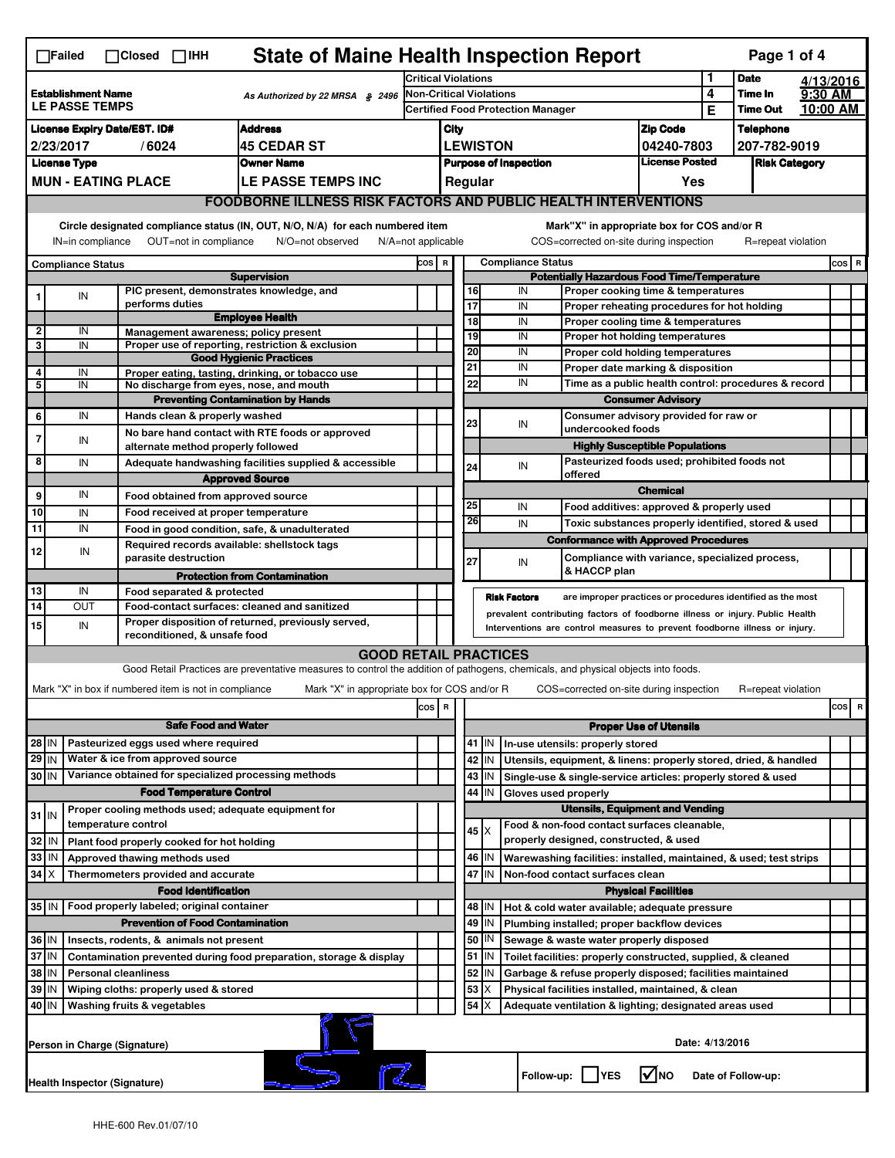|                                                                             | $\Box$ Failed                                                                                                                 |  | $\Box$ Closed $\Box$ IHH                                            | <b>State of Maine Health Inspection Report</b>                                                                                                                    |                                                                            |                                                                                                                                                            |                                                          |                   |                       |                          |                                                                                                       |                               |                 | Page 1 of 4        |  |           |
|-----------------------------------------------------------------------------|-------------------------------------------------------------------------------------------------------------------------------|--|---------------------------------------------------------------------|-------------------------------------------------------------------------------------------------------------------------------------------------------------------|----------------------------------------------------------------------------|------------------------------------------------------------------------------------------------------------------------------------------------------------|----------------------------------------------------------|-------------------|-----------------------|--------------------------|-------------------------------------------------------------------------------------------------------|-------------------------------|-----------------|--------------------|--|-----------|
|                                                                             |                                                                                                                               |  |                                                                     | 1<br><b>Critical Violations</b>                                                                                                                                   |                                                                            |                                                                                                                                                            |                                                          |                   |                       | <b>Date</b>              |                                                                                                       | 4/13/2016                     |                 |                    |  |           |
|                                                                             | <b>Establishment Name</b><br>As Authorized by 22 MRSA § 2496<br>LE PASSE TEMPS                                                |  |                                                                     |                                                                                                                                                                   | <b>Non-Critical Violations</b><br><b>Certified Food Protection Manager</b> |                                                                                                                                                            |                                                          |                   |                       | 4<br>Е                   | Time In<br><b>Time Out</b>                                                                            | 9:30 AM                       | 10:00 AM        |                    |  |           |
|                                                                             | <b>Address</b><br><b>License Expiry Date/EST. ID#</b>                                                                         |  |                                                                     |                                                                                                                                                                   |                                                                            | City                                                                                                                                                       |                                                          |                   |                       | <b>Zip Code</b>          |                                                                                                       | <b>Telephone</b>              |                 |                    |  |           |
|                                                                             | 2/23/2017<br><b>45 CEDAR ST</b><br>/6024                                                                                      |  |                                                                     |                                                                                                                                                                   |                                                                            |                                                                                                                                                            | <b>LEWISTON</b>                                          |                   |                       |                          |                                                                                                       | 04240-7803                    |                 | 207-782-9019       |  |           |
| <b>License Type</b><br><b>Owner Name</b>                                    |                                                                                                                               |  |                                                                     |                                                                                                                                                                   | <b>Purpose of Inspection</b>                                               |                                                                                                                                                            |                                                          |                   | <b>License Posted</b> |                          |                                                                                                       | <b>Risk Category</b>          |                 |                    |  |           |
|                                                                             | <b>MUN - EATING PLACE</b>                                                                                                     |  |                                                                     | LE PASSE TEMPS INC                                                                                                                                                |                                                                            |                                                                                                                                                            |                                                          | Regular           |                       |                          |                                                                                                       | Yes                           |                 |                    |  |           |
|                                                                             |                                                                                                                               |  |                                                                     | <b>FOODBORNE ILLNESS RISK FACTORS AND PUBLIC HEALTH INTERVENTIONS</b>                                                                                             |                                                                            |                                                                                                                                                            |                                                          |                   |                       |                          |                                                                                                       |                               |                 |                    |  |           |
|                                                                             | Circle designated compliance status (IN, OUT, N/O, N/A) for each numbered item<br>Mark"X" in appropriate box for COS and/or R |  |                                                                     |                                                                                                                                                                   |                                                                            |                                                                                                                                                            |                                                          |                   |                       |                          |                                                                                                       |                               |                 |                    |  |           |
|                                                                             | IN=in compliance                                                                                                              |  | OUT=not in compliance                                               | N/O=not observed                                                                                                                                                  | $N/A = not$ applicable                                                     |                                                                                                                                                            |                                                          |                   |                       |                          | COS=corrected on-site during inspection                                                               |                               |                 | R=repeat violation |  |           |
|                                                                             | <b>Compliance Status</b>                                                                                                      |  |                                                                     | <b>Supervision</b>                                                                                                                                                | COS R                                                                      |                                                                                                                                                            |                                                          |                   |                       | <b>Compliance Status</b> | <b>Potentially Hazardous Food Time/Temperature</b>                                                    |                               |                 |                    |  | $cos$ R   |
|                                                                             | IN                                                                                                                            |  | PIC present, demonstrates knowledge, and                            |                                                                                                                                                                   |                                                                            |                                                                                                                                                            |                                                          | 16                |                       | IN                       | Proper cooking time & temperatures                                                                    |                               |                 |                    |  |           |
|                                                                             |                                                                                                                               |  | performs duties                                                     | <b>Employee Health</b>                                                                                                                                            |                                                                            |                                                                                                                                                            |                                                          | 17                |                       | IN                       | Proper reheating procedures for hot holding                                                           |                               |                 |                    |  |           |
| $\mathbf{2}$                                                                | IN                                                                                                                            |  | Management awareness; policy present                                |                                                                                                                                                                   |                                                                            |                                                                                                                                                            |                                                          | 18                |                       | IN                       | Proper cooling time & temperatures                                                                    |                               |                 |                    |  |           |
| 3                                                                           | IN                                                                                                                            |  |                                                                     | Proper use of reporting, restriction & exclusion                                                                                                                  |                                                                            |                                                                                                                                                            |                                                          | 19<br>20          |                       | IN<br>IN                 | <b>Proper hot holding temperatures</b><br>Proper cold holding temperatures                            |                               |                 |                    |  |           |
| 4                                                                           |                                                                                                                               |  |                                                                     | <b>Good Hygienic Practices</b>                                                                                                                                    |                                                                            |                                                                                                                                                            |                                                          | 21                |                       | IN                       | Proper date marking & disposition                                                                     |                               |                 |                    |  |           |
| 5                                                                           | IN<br>IN                                                                                                                      |  | No discharge from eyes, nose, and mouth                             | Proper eating, tasting, drinking, or tobacco use                                                                                                                  |                                                                            |                                                                                                                                                            |                                                          | 22                |                       | IN                       | Time as a public health control: procedures & record                                                  |                               |                 |                    |  |           |
|                                                                             |                                                                                                                               |  |                                                                     | <b>Preventing Contamination by Hands</b>                                                                                                                          |                                                                            |                                                                                                                                                            |                                                          |                   |                       |                          | <b>Consumer Advisory</b>                                                                              |                               |                 |                    |  |           |
| 6                                                                           | IN                                                                                                                            |  | Hands clean & properly washed                                       |                                                                                                                                                                   |                                                                            |                                                                                                                                                            |                                                          | 23                |                       | IN                       | Consumer advisory provided for raw or<br>undercooked foods                                            |                               |                 |                    |  |           |
| 7                                                                           | IN                                                                                                                            |  |                                                                     | No bare hand contact with RTE foods or approved                                                                                                                   |                                                                            |                                                                                                                                                            |                                                          |                   |                       |                          | <b>Highly Susceptible Populations</b>                                                                 |                               |                 |                    |  |           |
| 8                                                                           | IN                                                                                                                            |  | alternate method properly followed                                  | Adequate handwashing facilities supplied & accessible                                                                                                             |                                                                            |                                                                                                                                                            |                                                          |                   |                       |                          | Pasteurized foods used; prohibited foods not                                                          |                               |                 |                    |  |           |
|                                                                             |                                                                                                                               |  |                                                                     | <b>Approved Source</b>                                                                                                                                            |                                                                            |                                                                                                                                                            |                                                          | 24                |                       | IN                       | offered                                                                                               |                               |                 |                    |  |           |
| 9                                                                           | IN                                                                                                                            |  | Food obtained from approved source                                  |                                                                                                                                                                   |                                                                            |                                                                                                                                                            |                                                          |                   |                       |                          |                                                                                                       | <b>Chemical</b>               |                 |                    |  |           |
| 10                                                                          | IN                                                                                                                            |  | Food received at proper temperature                                 |                                                                                                                                                                   |                                                                            |                                                                                                                                                            |                                                          | 25<br>26          |                       | IN                       | Food additives: approved & properly used                                                              |                               |                 |                    |  |           |
| 11                                                                          | IN                                                                                                                            |  | Food in good condition, safe, & unadulterated                       |                                                                                                                                                                   |                                                                            |                                                                                                                                                            |                                                          |                   |                       | IN                       | Toxic substances properly identified, stored & used                                                   |                               |                 |                    |  |           |
| 12                                                                          | IN                                                                                                                            |  | Required records available: shellstock tags                         |                                                                                                                                                                   |                                                                            |                                                                                                                                                            |                                                          |                   |                       |                          | <b>Conformance with Approved Procedures</b>                                                           |                               |                 |                    |  |           |
|                                                                             |                                                                                                                               |  | parasite destruction                                                | <b>Protection from Contamination</b>                                                                                                                              |                                                                            |                                                                                                                                                            |                                                          | 27                |                       | IN                       | Compliance with variance, specialized process,<br>& HACCP plan                                        |                               |                 |                    |  |           |
| 13                                                                          | IN                                                                                                                            |  | Food separated & protected                                          |                                                                                                                                                                   |                                                                            |                                                                                                                                                            |                                                          |                   |                       |                          |                                                                                                       |                               |                 |                    |  |           |
| 14                                                                          | OUT                                                                                                                           |  | Food-contact surfaces: cleaned and sanitized                        |                                                                                                                                                                   |                                                                            |                                                                                                                                                            |                                                          |                   | <b>Risk Factors</b>   |                          | are improper practices or procedures identified as the most                                           |                               |                 |                    |  |           |
| 15                                                                          | IN                                                                                                                            |  |                                                                     | Proper disposition of returned, previously served,                                                                                                                |                                                                            | prevalent contributing factors of foodborne illness or injury. Public Health<br>Interventions are control measures to prevent foodborne illness or injury. |                                                          |                   |                       |                          |                                                                                                       |                               |                 |                    |  |           |
|                                                                             |                                                                                                                               |  | reconditioned, & unsafe food                                        |                                                                                                                                                                   |                                                                            |                                                                                                                                                            |                                                          |                   |                       |                          |                                                                                                       |                               |                 |                    |  |           |
|                                                                             |                                                                                                                               |  |                                                                     | <b>GOOD RETAIL PRACTICES</b><br>Good Retail Practices are preventative measures to control the addition of pathogens, chemicals, and physical objects into foods. |                                                                            |                                                                                                                                                            |                                                          |                   |                       |                          |                                                                                                       |                               |                 |                    |  |           |
|                                                                             |                                                                                                                               |  | Mark "X" in box if numbered item is not in compliance               | Mark "X" in appropriate box for COS and/or R                                                                                                                      |                                                                            |                                                                                                                                                            |                                                          |                   |                       |                          | COS=corrected on-site during inspection                                                               |                               |                 | R=repeat violation |  |           |
|                                                                             |                                                                                                                               |  |                                                                     |                                                                                                                                                                   | COS R                                                                      |                                                                                                                                                            |                                                          |                   |                       |                          |                                                                                                       |                               |                 |                    |  | cosl<br>R |
|                                                                             | <b>Safe Food and Water</b>                                                                                                    |  |                                                                     |                                                                                                                                                                   |                                                                            |                                                                                                                                                            |                                                          |                   |                       |                          |                                                                                                       | <b>Proper Use of Utensils</b> |                 |                    |  |           |
|                                                                             | $28$ IN<br>Pasteurized eggs used where required                                                                               |  |                                                                     |                                                                                                                                                                   |                                                                            |                                                                                                                                                            | 41   IN<br>In-use utensils: properly stored              |                   |                       |                          |                                                                                                       |                               |                 |                    |  |           |
| $29$ IN                                                                     |                                                                                                                               |  | Water & ice from approved source                                    |                                                                                                                                                                   |                                                                            |                                                                                                                                                            |                                                          | 42<br>IN          |                       |                          | Utensils, equipment, & linens: properly stored, dried, & handled                                      |                               |                 |                    |  |           |
| 30 IN                                                                       |                                                                                                                               |  | Variance obtained for specialized processing methods                |                                                                                                                                                                   |                                                                            |                                                                                                                                                            |                                                          | 43<br>IN          |                       |                          | Single-use & single-service articles: properly stored & used                                          |                               |                 |                    |  |           |
| <b>Food Temperature Control</b>                                             |                                                                                                                               |  |                                                                     |                                                                                                                                                                   |                                                                            |                                                                                                                                                            | 44<br>IN<br>Gloves used properly                         |                   |                       |                          |                                                                                                       |                               |                 |                    |  |           |
| $31$ IN                                                                     |                                                                                                                               |  | Proper cooling methods used; adequate equipment for                 |                                                                                                                                                                   |                                                                            |                                                                                                                                                            | <b>Utensils, Equipment and Vending</b>                   |                   |                       |                          |                                                                                                       |                               |                 |                    |  |           |
|                                                                             |                                                                                                                               |  | temperature control                                                 |                                                                                                                                                                   |                                                                            |                                                                                                                                                            |                                                          | 45   X            |                       |                          | Food & non-food contact surfaces cleanable,                                                           |                               |                 |                    |  |           |
| 32                                                                          | IN                                                                                                                            |  | Plant food properly cooked for hot holding                          |                                                                                                                                                                   |                                                                            |                                                                                                                                                            |                                                          |                   |                       |                          | properly designed, constructed, & used                                                                |                               |                 |                    |  |           |
| 33<br>$34$ $\times$                                                         | IN                                                                                                                            |  | Approved thawing methods used<br>Thermometers provided and accurate |                                                                                                                                                                   |                                                                            |                                                                                                                                                            |                                                          | 46<br>IN<br>47 IN |                       |                          | Warewashing facilities: installed, maintained, & used; test strips<br>Non-food contact surfaces clean |                               |                 |                    |  |           |
|                                                                             |                                                                                                                               |  | <b>Food Identification</b>                                          |                                                                                                                                                                   |                                                                            |                                                                                                                                                            |                                                          |                   |                       |                          |                                                                                                       | <b>Physical Facilities</b>    |                 |                    |  |           |
|                                                                             | 35   IN                                                                                                                       |  | Food properly labeled; original container                           |                                                                                                                                                                   |                                                                            |                                                                                                                                                            |                                                          | 48   IN           |                       |                          | Hot & cold water available; adequate pressure                                                         |                               |                 |                    |  |           |
|                                                                             | <b>Prevention of Food Contamination</b>                                                                                       |  |                                                                     |                                                                                                                                                                   | 49<br>IN<br>Plumbing installed; proper backflow devices                    |                                                                                                                                                            |                                                          |                   |                       |                          |                                                                                                       |                               |                 |                    |  |           |
| 36 IN                                                                       |                                                                                                                               |  | Insects, rodents, & animals not present                             |                                                                                                                                                                   |                                                                            |                                                                                                                                                            |                                                          | 50   IN           |                       |                          | Sewage & waste water properly disposed                                                                |                               |                 |                    |  |           |
| 37 IN<br>Contamination prevented during food preparation, storage & display |                                                                                                                               |  |                                                                     |                                                                                                                                                                   |                                                                            | 51<br>  IN<br>Toilet facilities: properly constructed, supplied, & cleaned                                                                                 |                                                          |                   |                       |                          |                                                                                                       |                               |                 |                    |  |           |
|                                                                             | 38 IN<br><b>Personal cleanliness</b>                                                                                          |  |                                                                     |                                                                                                                                                                   |                                                                            |                                                                                                                                                            |                                                          | 52<br>IN          |                       |                          | Garbage & refuse properly disposed; facilities maintained                                             |                               |                 |                    |  |           |
| 39 IN                                                                       |                                                                                                                               |  | Wiping cloths: properly used & stored                               |                                                                                                                                                                   |                                                                            |                                                                                                                                                            | 53<br>Physical facilities installed, maintained, & clean |                   |                       |                          |                                                                                                       |                               |                 |                    |  |           |
| 40 IN                                                                       |                                                                                                                               |  | Washing fruits & vegetables                                         |                                                                                                                                                                   |                                                                            |                                                                                                                                                            |                                                          | 54                |                       |                          | Adequate ventilation & lighting; designated areas used                                                |                               |                 |                    |  |           |
|                                                                             | Person in Charge (Signature)                                                                                                  |  |                                                                     |                                                                                                                                                                   |                                                                            |                                                                                                                                                            |                                                          |                   |                       |                          |                                                                                                       |                               | Date: 4/13/2016 |                    |  |           |
|                                                                             | Health Inspector (Signature)                                                                                                  |  |                                                                     |                                                                                                                                                                   |                                                                            |                                                                                                                                                            |                                                          |                   |                       |                          | Follow-up:     YES                                                                                    | l√lno                         |                 | Date of Follow-up: |  |           |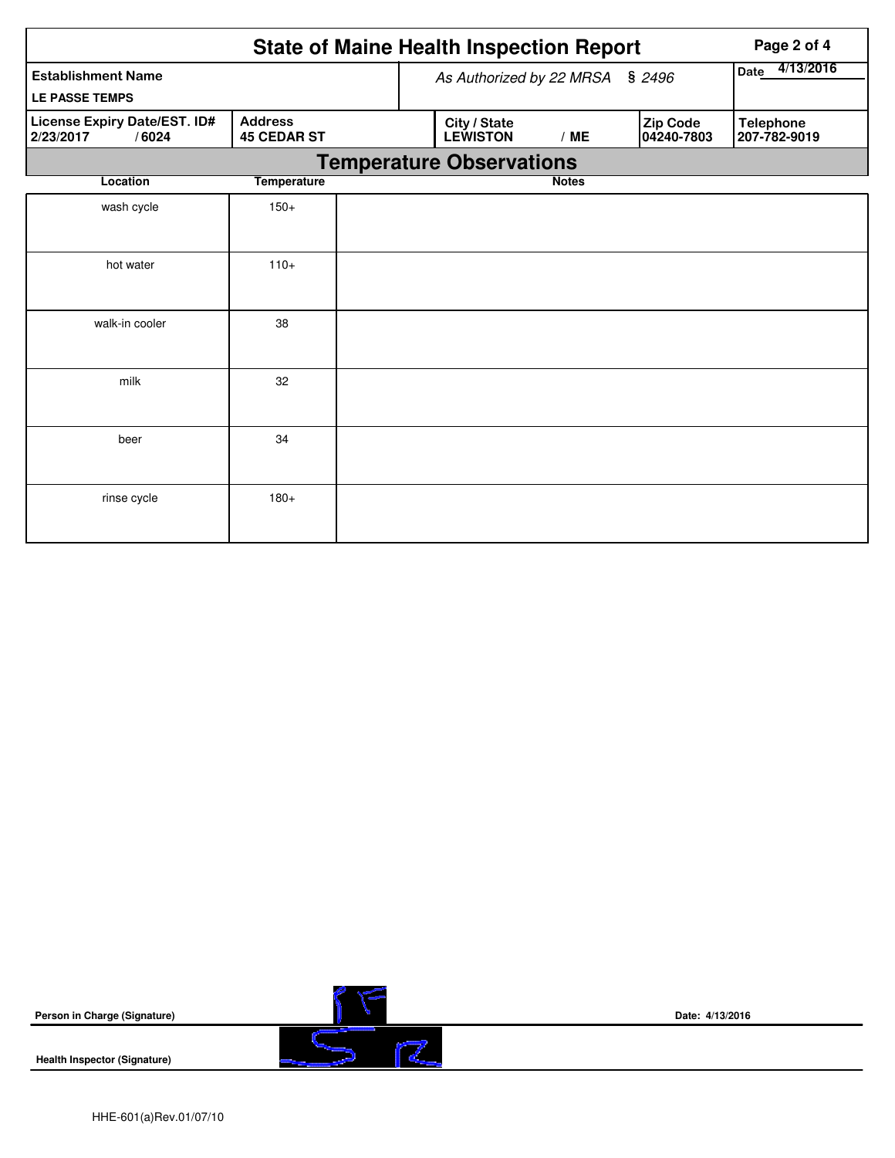|                                                    |                                      |                                 | <b>State of Maine Health Inspection Report</b> |                        | Page 2 of 4                      |
|----------------------------------------------------|--------------------------------------|---------------------------------|------------------------------------------------|------------------------|----------------------------------|
| <b>Establishment Name</b>                          |                                      | As Authorized by 22 MRSA § 2496 | 4/13/2016<br>Date                              |                        |                                  |
| <b>LE PASSE TEMPS</b>                              |                                      |                                 |                                                |                        |                                  |
| License Expiry Date/EST. ID#<br>/6024<br>2/23/2017 | <b>Address</b><br><b>45 CEDAR ST</b> | City / State<br><b>LEWISTON</b> | /ME                                            | Zip Code<br>04240-7803 | <b>Telephone</b><br>207-782-9019 |
|                                                    |                                      | <b>Temperature Observations</b> |                                                |                        |                                  |
| Location                                           | <b>Temperature</b>                   |                                 | <b>Notes</b>                                   |                        |                                  |
| wash cycle                                         | $150+$                               |                                 |                                                |                        |                                  |
| hot water                                          | $110+$                               |                                 |                                                |                        |                                  |
| walk-in cooler                                     | 38                                   |                                 |                                                |                        |                                  |
| milk                                               | 32                                   |                                 |                                                |                        |                                  |
| beer                                               | 34                                   |                                 |                                                |                        |                                  |
| rinse cycle                                        | $180+$                               |                                 |                                                |                        |                                  |

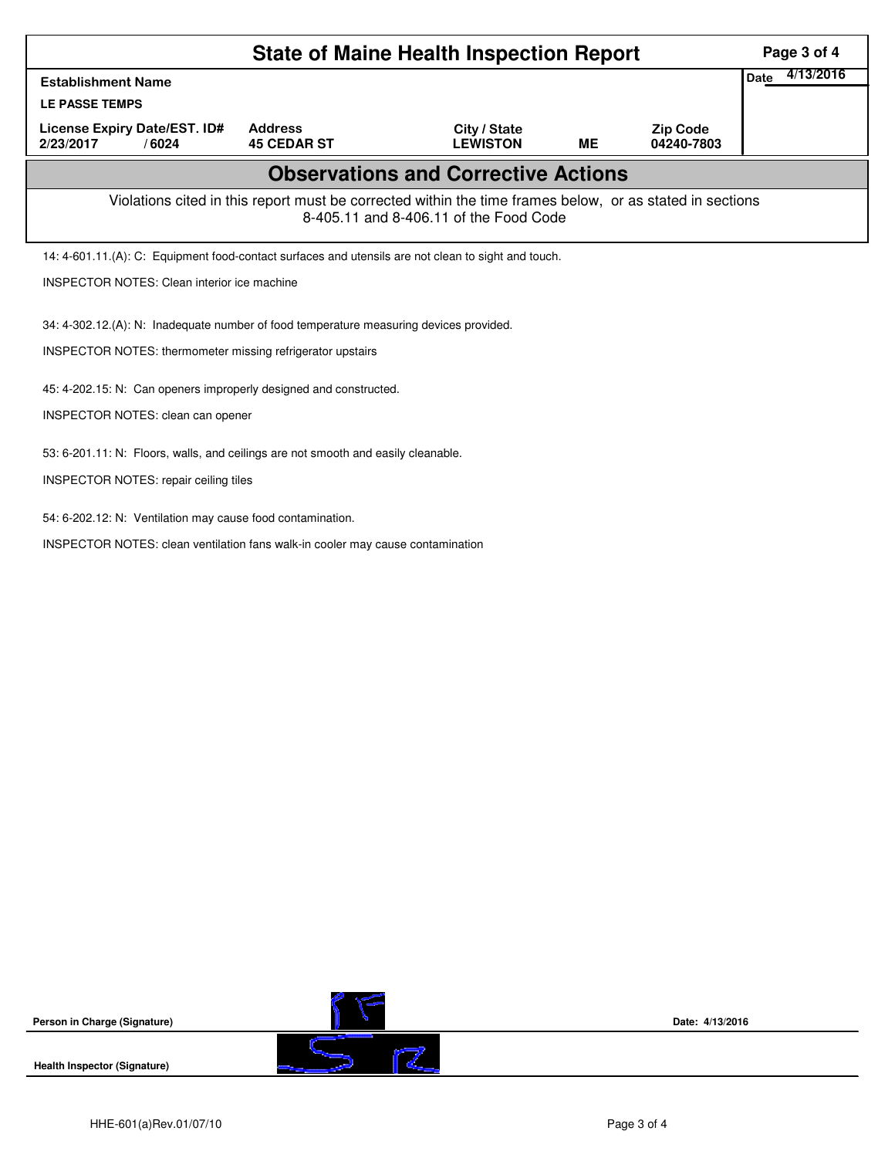| <b>State of Maine Health Inspection Report</b>                                                                                                     |                                                                                                     |                                 |           |                               |  |  |  |  |  |
|----------------------------------------------------------------------------------------------------------------------------------------------------|-----------------------------------------------------------------------------------------------------|---------------------------------|-----------|-------------------------------|--|--|--|--|--|
| <b>Establishment Name</b>                                                                                                                          |                                                                                                     |                                 |           |                               |  |  |  |  |  |
| <b>LE PASSE TEMPS</b>                                                                                                                              |                                                                                                     |                                 |           |                               |  |  |  |  |  |
| License Expiry Date/EST. ID#<br>2/23/2017<br>/6024                                                                                                 | <b>Address</b><br><b>45 CEDAR ST</b>                                                                | City / State<br><b>LEWISTON</b> | <b>ME</b> | <b>Zip Code</b><br>04240-7803 |  |  |  |  |  |
| <b>Observations and Corrective Actions</b>                                                                                                         |                                                                                                     |                                 |           |                               |  |  |  |  |  |
| Violations cited in this report must be corrected within the time frames below, or as stated in sections<br>8-405.11 and 8-406.11 of the Food Code |                                                                                                     |                                 |           |                               |  |  |  |  |  |
|                                                                                                                                                    | 14: 4-601.11.(A): C: Equipment food-contact surfaces and utensils are not clean to sight and touch. |                                 |           |                               |  |  |  |  |  |
| <b>INSPECTOR NOTES: Clean interior ice machine</b>                                                                                                 |                                                                                                     |                                 |           |                               |  |  |  |  |  |
| 34: 4-302.12.(A): N: Inadequate number of food temperature measuring devices provided.                                                             |                                                                                                     |                                 |           |                               |  |  |  |  |  |
| INSPECTOR NOTES: thermometer missing refrigerator upstairs                                                                                         |                                                                                                     |                                 |           |                               |  |  |  |  |  |
| 45: 4-202.15: N: Can openers improperly designed and constructed.                                                                                  |                                                                                                     |                                 |           |                               |  |  |  |  |  |
| <b>INSPECTOR NOTES: clean can opener</b>                                                                                                           |                                                                                                     |                                 |           |                               |  |  |  |  |  |
| 53: 6-201.11: N: Floors, walls, and ceilings are not smooth and easily cleanable.                                                                  |                                                                                                     |                                 |           |                               |  |  |  |  |  |
|                                                                                                                                                    | <b>INSPECTOR NOTES: repair ceiling tiles</b>                                                        |                                 |           |                               |  |  |  |  |  |
| 54: 6-202.12: N: Ventilation may cause food contamination.                                                                                         |                                                                                                     |                                 |           |                               |  |  |  |  |  |
| INSPECTOR NOTES: clean ventilation fans walk-in cooler may cause contamination                                                                     |                                                                                                     |                                 |           |                               |  |  |  |  |  |